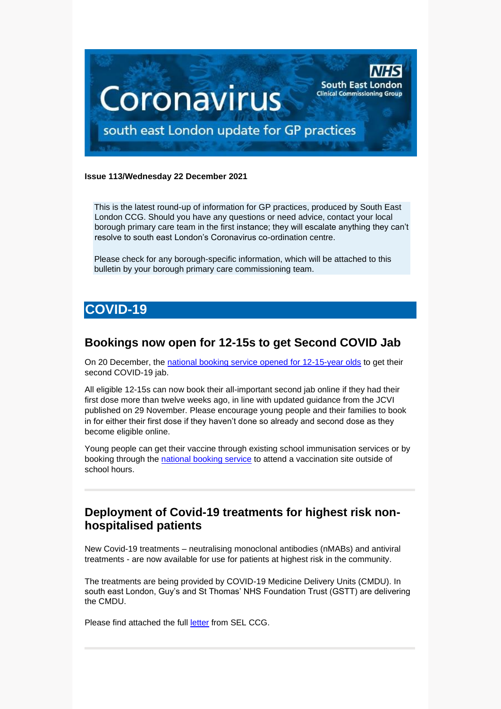

#### **Issue 113/Wednesday 22 December 2021**

This is the latest round-up of information for GP practices, produced by South East London CCG. Should you have any questions or need advice, contact your local borough primary care team in the first instance; they will escalate anything they can't resolve to south east London's Coronavirus co-ordination centre.

Please check for any borough-specific information, which will be attached to this bulletin by your borough primary care commissioning team.

# **COVID-19**

## **Bookings now open for 12-15s to get Second COVID Jab**

On 20 December, the [national booking service opened for 12-15-year olds](https://www.england.nhs.uk/2021/12/nhs-opens-bookings-for-12-15s-to-get-second-covid-jab/) to get their second COVID-19 jab.

All eligible 12-15s can now book their all-important second jab online if they had their first dose more than twelve weeks ago, in line with updated guidance from the JCVI published on 29 November. Please encourage young people and their families to book in for either their first dose if they haven't done so already and second dose as they become eligible online.

Young people can get their vaccine through existing school immunisation services or by booking through the [national booking service](https://www.nhs.uk/conditions/coronavirus-covid-19/coronavirus-vaccination/book-coronavirus-vaccination/) to attend a vaccination site outside of school hours.

## **Deployment of Covid-19 treatments for highest risk nonhospitalised patients**

New Covid-19 treatments – neutralising monoclonal antibodies (nMABs) and antiviral treatments - are now available for use for patients at highest risk in the community.

The treatments are being provided by COVID-19 Medicine Delivery Units (CMDU). In south east London, Guy's and St Thomas' NHS Foundation Trust (GSTT) are delivering the CMDU.

Please find attached the full [letter](https://selondonccg.nhs.uk/wp-content/uploads/2021/12/211220-Deployment-of-COVID-19-treatments-for-highest-risk-non-hospitalised-patients-GP-letter.pdf) from SEL CCG.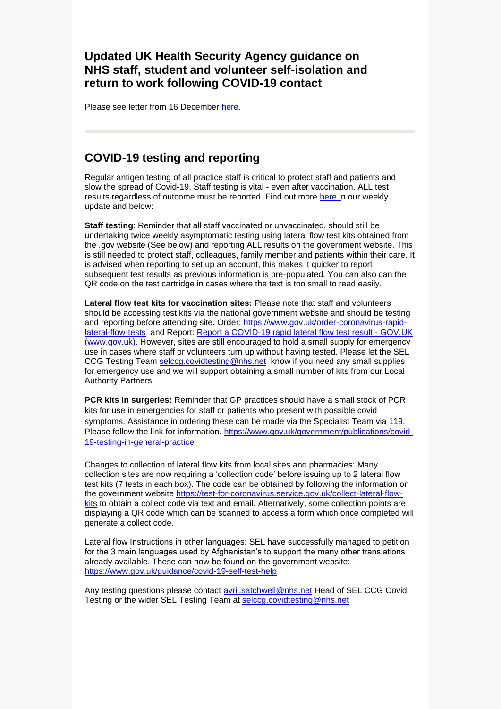## **Updated UK Health Security Agency guidance on NHS staff, student and volunteer self-isolation and return to work following COVID-19 contact**

Please see letter from 16 December [here.](https://selondonccg.nhs.uk/wp-content/uploads/2021/12/C1500_Updated-UK-Health-Security-Agency-guidance-on-NHS-staff-student-and-volunteer-self-isolation-and-return-to-work-following-COVID-19-contact_16-December-.pdf)

## **COVID-19 testing and reporting**

Regular antigen testing of all practice staff is critical to protect staff and patients and slow the spread of Covid-19. Staff testing is vital - even after vaccination. ALL test results regardless of outcome must be reported. Find out more [here](https://selondonccg.nhs.uk/wp-content/uploads/2021/12/Key-messages-for-GP-weekly-bulletin-17-December-2021.pdf) in our weekly update and below:

**Staff testing**: Reminder that all staff vaccinated or unvaccinated, should still be undertaking twice weekly asymptomatic testing using lateral flow test kits obtained from the .gov website (See below) and reporting ALL results on the government website. This is still needed to protect staff, colleagues, family member and patients within their care. It is advised when reporting to set up an account, this makes it quicker to report subsequent test results as previous information is pre-populated. You can also can the QR code on the test cartridge in cases where the text is too small to read easily.

**Lateral flow test kits for vaccination sites:** Please note that staff and volunteers should be accessing test kits via the national government website and should be testing and reporting before attending site. Order: [https://www.gov.uk/order-coronavirus-rapid](https://www.gov.uk/order-coronavirus-rapid-lateral-flow-tests)[lateral-flow-tests](https://www.gov.uk/order-coronavirus-rapid-lateral-flow-tests) and Report: [Report a COVID-19 rapid lateral flow test result -](https://www.gov.uk/report-covid19-result) GOV.UK [\(www.gov.uk\).](https://www.gov.uk/report-covid19-result) However, sites are still encouraged to hold a small supply for emergency use in cases where staff or volunteers turn up without having tested. Please let the SEL CCG Testing Team [selccg.covidtesting@nhs.net](mailto:selccg.covidtesting@nhs.net) know if you need any small supplies for emergency use and we will support obtaining a small number of kits from our Local Authority Partners.

**PCR kits in surgeries:** Reminder that GP practices should have a small stock of PCR kits for use in emergencies for staff or patients who present with possible covid symptoms. Assistance in ordering these can be made via the Specialist Team via 119. Please follow the link for information. [https://www.gov.uk/government/publications/covid-](https://www.gov.uk/government/publications/covid-19-testing-in-general-practice)[19-testing-in-general-practice](https://www.gov.uk/government/publications/covid-19-testing-in-general-practice)

Changes to collection of lateral flow kits from local sites and pharmacies: Many collection sites are now requiring a 'collection code' before issuing up to 2 lateral flow test kits (7 tests in each box). The code can be obtained by following the information on the government website [https://test-for-coronavirus.service.gov.uk/collect-lateral-flow](https://test-for-coronavirus.service.gov.uk/collect-lateral-flow-kits)[kits](https://test-for-coronavirus.service.gov.uk/collect-lateral-flow-kits) to obtain a collect code via text and email. Alternatively, some collection points are displaying a QR code which can be scanned to access a form which once completed will generate a collect code.

Lateral flow Instructions in other languages: SEL have successfully managed to petition for the 3 main languages used by Afghanistan's to support the many other translations already available. These can now be found on the government website: <https://www.gov.uk/guidance/covid-19-self-test-help>

Any testing questions please contact [avril.satchwell@nhs.net](mailto:avril.satchwell@nhs.net) Head of SEL CCG Covid Testing or the wider SEL Testing Team at [selccg.covidtesting@nhs.net](mailto:selccg.covidtesting@nhs.net)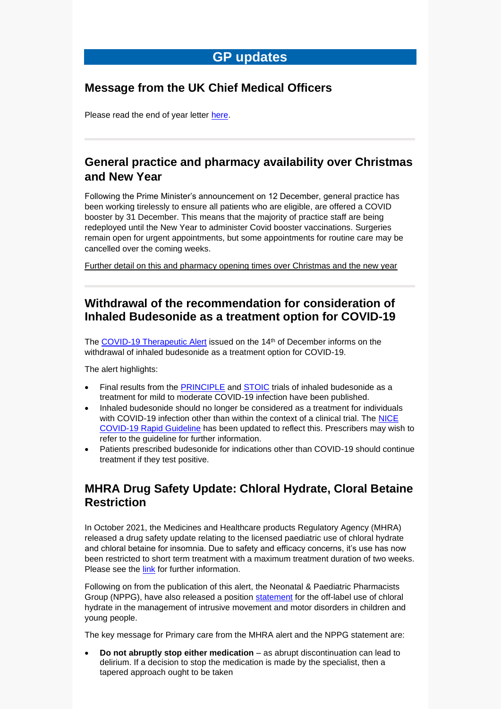## **GP updates**

## **Message from the UK Chief Medical Officers**

Please read the end of year letter [here.](https://selondonccg.nhs.uk/wp-content/uploads/2021/12/21.12.21-UK-CMO-letter-to-the-profession.pdf)

## **General practice and pharmacy availability over Christmas and New Year**

Following the Prime Minister's announcement on 12 December, general practice has been working tirelessly to ensure all patients who are eligible, are offered a COVID booster by 31 December. This means that the majority of practice staff are being redeployed until the New Year to administer Covid booster vaccinations. Surgeries remain open for urgent appointments, but some appointments for routine care may be cancelled over the coming weeks.

[Further detail on this and pharmacy opening times over Christmas and the new year](https://selondonccg.nhs.uk/news/general-practice-and-pharmacy-availability-over-christmas-and-new-year/)

## **Withdrawal of the recommendation for consideration of Inhaled Budesonide as a treatment option for COVID-19**

The [COVID-19 Therapeutic Alert](https://www.cas.mhra.gov.uk/ViewandAcknowledgment/ViewAlert.aspx?AlertID=103185) issued on the 14<sup>th</sup> of December informs on the withdrawal of inhaled budesonide as a treatment option for COVID-19.

The alert highlights:

- Final results from the [PRINCIPLE](https://www.thelancet.com/journals/lancet/article/PIIS0140-6736(21)01744-X/fulltext) and [STOIC](https://www.thelancet.com/article/S2213-2600(21)00160-0/fulltext) trials of inhaled budesonide as a treatment for mild to moderate COVID-19 infection have been published.
- Inhaled budesonide should no longer be considered as a treatment for individuals with COVID-19 infection other than within the context of a clinical trial. The NICE [COVID-19 Rapid Guideline](https://www.nice.org.uk/guidance/ng191/resources/covid19-rapid-guideline-managing-covid19-pdf-51035553326) has been updated to reflect this. Prescribers may wish to refer to the guideline for further information.
- Patients prescribed budesonide for indications other than COVID-19 should continue treatment if they test positive.

## **MHRA [Drug Safety Update: Chloral Hydrate, Cloral Betaine](https://scanmail.trustwave.com/?c=8248&d=0qyy4eHM0bo7YiQxbrK7cBsfGkemlPCSmCbJR45Eyw&u=https%3a%2f%2fwww%2egov%2euk%2fdrug-safety-update%2fchloral-hydrate-cloral-betaine-welldorm-restriction-of-paediatric-indication)  [Restriction](https://scanmail.trustwave.com/?c=8248&d=0qyy4eHM0bo7YiQxbrK7cBsfGkemlPCSmCbJR45Eyw&u=https%3a%2f%2fwww%2egov%2euk%2fdrug-safety-update%2fchloral-hydrate-cloral-betaine-welldorm-restriction-of-paediatric-indication)**

In October 2021, the Medicines and Healthcare products Regulatory Agency (MHRA) released a drug safety update relating to the licensed paediatric use of chloral hydrate and chloral betaine for insomnia. Due to safety and efficacy concerns, it's use has now been restricted to short term treatment with a maximum treatment duration of two weeks. Please see the [link](https://www.gov.uk/drug-safety-update/chloral-hydrate-cloral-betaine-welldorm-restriction-of-paediatric-indication) for further information.

Following on from the publication of this alert, the Neonatal & Paediatric Pharmacists Group (NPPG), have also released a position [statement](http://scanmail.trustwave.com/?c=8248&d=0qyy4eHM0bo7YiQxbrK7cBsfGkemlPCSmHDPQYFMzQ&u=http%3a%2f%2fnppg%2eorg%2euk%2fwp-content%2fuploads%2f2021%2f12%2fNPPG-Position-Statement-Chloral-Dystonia-V1%2epdf) for the off-label use of chloral hydrate in the management of intrusive movement and motor disorders in children and young people.

The key message for Primary care from the MHRA alert and the NPPG statement are:

• **Do not abruptly stop either medication** – as abrupt discontinuation can lead to delirium. If a decision to stop the medication is made by the specialist, then a tapered approach ought to be taken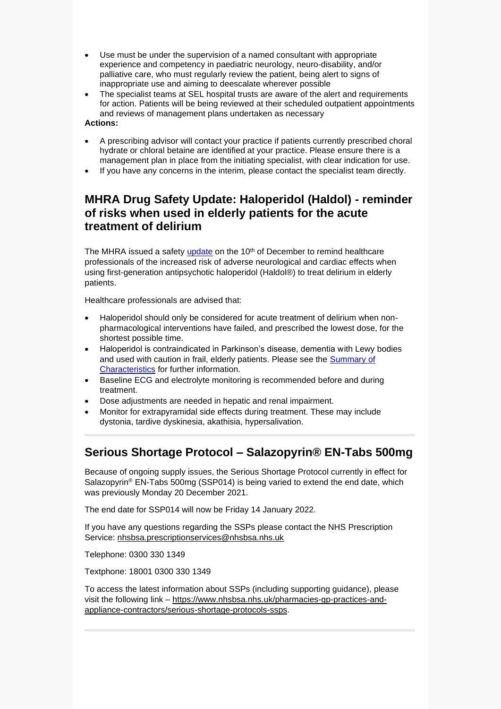- Use must be under the supervision of a named consultant with appropriate experience and competency in paediatric neurology, neuro-disability, and/or palliative care, who must regularly review the patient, being alert to signs of inappropriate use and aiming to deescalate wherever possible
- The specialist teams at SEL hospital trusts are aware of the alert and requirements for action. Patients will be being reviewed at their scheduled outpatient appointments and reviews of management plans undertaken as necessary

#### **Actions:**

- A prescribing advisor will contact your practice if patients currently prescribed choral hydrate or chloral betaine are identified at your practice. Please ensure there is a management plan in place from the initiating specialist, with clear indication for use.
- If you have any concerns in the interim, please contact the specialist team directly.

## **MHRA Drug Safety Update: Haloperidol (Haldol) - reminder of risks when used in elderly patients for the acute treatment of delirium**

The MHRA issued a safety [update](https://www.gov.uk/drug-safety-update/haloperidol-haldol-reminder-of-risks-when-used-in-elderly-patients-for-the-acute-treatment-of-delirium) on the 10<sup>th</sup> of December to remind healthcare professionals of the increased risk of adverse neurological and cardiac effects when using first-generation antipsychotic haloperidol (Haldol®) to treat delirium in elderly patients.

Healthcare professionals are advised that:

- Haloperidol should only be considered for acute treatment of delirium when nonpharmacological interventions have failed, and prescribed the lowest dose, for the shortest possible time.
- Haloperidol is contraindicated in Parkinson's disease, dementia with Lewy bodies and used with caution in frail, elderly patients. Please see the [Summary of](https://www.medicines.org.uk/emc/product/180/smpc)  [Characteristics](https://www.medicines.org.uk/emc/product/180/smpc) for further information.
- Baseline ECG and electrolyte monitoring is recommended before and during treatment.
- Dose adjustments are needed in hepatic and renal impairment.
- Monitor for extrapyramidal side effects during treatment. These may include dystonia, tardive dyskinesia, akathisia, hypersalivation.

## **Serious Shortage Protocol – Salazopyrin® EN-Tabs 500mg**

Because of ongoing supply issues, the Serious Shortage Protocol currently in effect for Salazopyrin<sup>®</sup> EN-Tabs 500mg (SSP014) is being varied to extend the end date, which was previously Monday 20 December 2021.

The end date for SSP014 will now be Friday 14 January 2022.

If you have any questions regarding the SSPs please contact the NHS Prescription Service: [nhsbsa.prescriptionservices@nhsbsa.nhs.uk](mailto:nhsbsa.prescriptionservices@nhsbsa.nhs.uk)

Telephone: 0300 330 1349

Textphone: 18001 0300 330 1349

To access the latest information about SSPs (including supporting guidance), please visit the following link – [https://www.nhsbsa.nhs.uk/pharmacies-gp-practices-and](https://www.nhsbsa.nhs.uk/pharmacies-gp-practices-and-appliance-contractors/serious-shortage-protocols-ssps)[appliance-contractors/serious-shortage-protocols-ssps.](https://www.nhsbsa.nhs.uk/pharmacies-gp-practices-and-appliance-contractors/serious-shortage-protocols-ssps)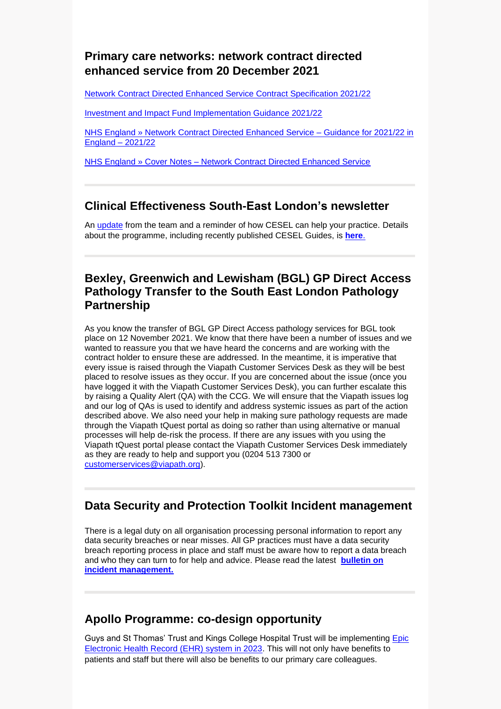## **Primary care networks: network contract directed enhanced service from 20 December 2021**

[Network Contract Directed Enhanced Service Contract Specification 2021/22](https://www.england.nhs.uk/publication/network-contract-des-specification-2021-22/) 

[Investment and Impact Fund Implementation Guidance 2021/22](https://www.england.nhs.uk/publication/investment-and-impact-fund-2021-22-implementation-guidance/)

[NHS England » Network Contract Directed Enhanced Service –](https://www.england.nhs.uk/publication/network-contract-des-guidance-2021-22/) Guidance for 2021/22 in [England –](https://www.england.nhs.uk/publication/network-contract-des-guidance-2021-22/) 2021/22

NHS England » Cover Notes – Network [Contract Directed Enhanced Service](https://www.england.nhs.uk/publication/cover-note-to-support-the-pcn-changes-for-2021-22/)

## **Clinical Effectiveness South-East London's newsletter**

An [update](https://selondonccg.nhs.uk/wp-content/uploads/2021/12/CESEL-Newsletter-Dec-21.pdf) from the team and a reminder of how CESEL can help your practice. Details about the programme, including recently published CESEL Guides, is **[here](https://selondonccg.nhs.uk/covid_19/clinical-effectiveness-sel/)**.

#### **Bexley, Greenwich and Lewisham (BGL) GP Direct Access Pathology Transfer to the South East London Pathology Partnership**

As you know the transfer of BGL GP Direct Access pathology services for BGL took place on 12 November 2021. We know that there have been a number of issues and we wanted to reassure you that we have heard the concerns and are working with the contract holder to ensure these are addressed. In the meantime, it is imperative that every issue is raised through the Viapath Customer Services Desk as they will be best placed to resolve issues as they occur. If you are concerned about the issue (once you have logged it with the Viapath Customer Services Desk), you can further escalate this by raising a Quality Alert (QA) with the CCG. We will ensure that the Viapath issues log and our log of QAs is used to identify and address systemic issues as part of the action described above. We also need your help in making sure pathology requests are made through the Viapath tQuest portal as doing so rather than using alternative or manual processes will help de-risk the process. If there are any issues with you using the Viapath tQuest portal please contact the Viapath Customer Services Desk immediately as they are ready to help and support you (0204 513 7300 or [customerservices@viapath.org\)](mailto:customerservices@viapath.org).

## **Data Security and Protection Toolkit Incident management**

There is a legal duty on all organisation processing personal information to report any data security breaches or near misses. All GP practices must have a data security breach reporting process in place and staff must be aware how to report a data breach and who they can turn to for help and advice. Please read the latest **[bulletin on](https://selondonccg.nhs.uk/wp-content/uploads/2021/12/20211216-Bulletin-GP-Incident-management-Final-1.pdf)  [incident management.](https://selondonccg.nhs.uk/wp-content/uploads/2021/12/20211216-Bulletin-GP-Incident-management-Final-1.pdf)**

## **Apollo Programme: co-design opportunity**

Guys and St Thomas' Trust and Kings College Hospital Trust will be implementing **Epic** [Electronic Health Record \(EHR\) system in 2023.](https://www.guysandstthomas.nhs.uk/about-us/electronic-health-record/electronic-health-record.aspx) This will not only have benefits to patients and staff but there will also be benefits to our primary care colleagues.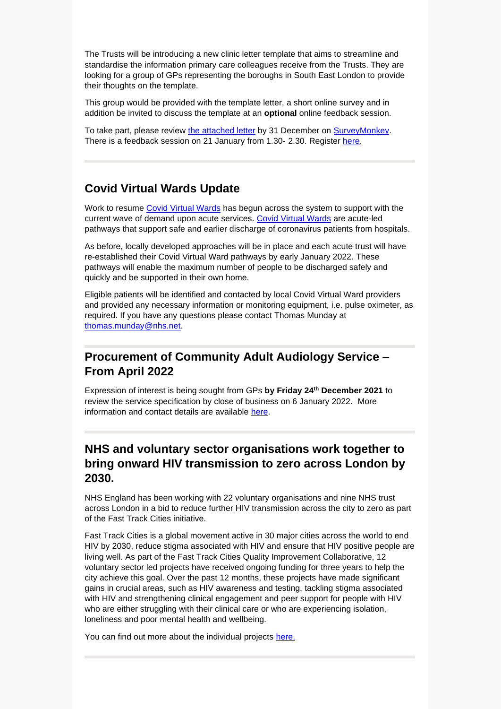The Trusts will be introducing a new clinic letter template that aims to streamline and standardise the information primary care colleagues receive from the Trusts. They are looking for a group of GPs representing the boroughs in South East London to provide their thoughts on the template.

This group would be provided with the template letter, a short online survey and in addition be invited to discuss the template at an **optional** online feedback session.

To take part, please review [the attached letter](https://selondonccg.nhs.uk/wp-content/uploads/2021/12/Epic-Clinic-Letter-Example_20211202.pdf) by 31 December on [SurveyMonkey.](https://www.surveymonkey.co.uk/r/RFFPMN9) There is a feedback session on 21 January from 1.30- 2.30. Register [here.](https://www.eventbrite.co.uk/e/gp-clinic-letter-feedback-session-tickets-227593928567)

## **Covid Virtual Wards Update**

Work to resume [Covid Virtual Wards](https://www.england.nhs.uk/nhs-at-home/covid-virtual-wards/) has begun across the system to support with the current wave of demand upon acute services. [Covid Virtual Wards](https://www.england.nhs.uk/nhs-at-home/covid-virtual-wards/) are acute-led pathways that support safe and earlier discharge of coronavirus patients from hospitals.

As before, locally developed approaches will be in place and each acute trust will have re-established their Covid Virtual Ward pathways by early January 2022. These pathways will enable the maximum number of people to be discharged safely and quickly and be supported in their own home.

Eligible patients will be identified and contacted by local Covid Virtual Ward providers and provided any necessary information or monitoring equipment, i.e. pulse oximeter, as required. If you have any questions please contact Thomas Munday at [thomas.munday@nhs.net.](mailto:thomas.munday@nhs.net)

## **Procurement of Community Adult Audiology Service – From April 2022**

Expression of interest is being sought from GPs **by Friday 24th December 2021** to review the service specification by close of business on 6 January 2022. More information and contact details are available [here.](https://selondonccg.nhs.uk/wp-content/uploads/2021/12/Adult-Community-Audiology.pdf)

## **NHS and voluntary sector organisations work together to bring onward HIV transmission to zero across London by 2030.**

NHS England has been working with 22 voluntary organisations and nine NHS trust across London in a bid to reduce further HIV transmission across the city to zero as part of the Fast Track Cities initiative.

Fast Track Cities is a global movement active in 30 major cities across the world to end HIV by 2030, reduce stigma associated with HIV and ensure that HIV positive people are living well. As part of the Fast Track Cities Quality Improvement Collaborative, 12 voluntary sector led projects have received ongoing funding for three years to help the city achieve this goal. Over the past 12 months, these projects have made significant gains in crucial areas, such as HIV awareness and testing, tackling stigma associated with HIV and strengthening clinical engagement and peer support for people with HIV who are either struggling with their clinical care or who are experiencing isolation, loneliness and poor mental health and wellbeing.

You can find out more about the individual projects [here.](https://www.youtube.com/playlist?list=PLFwV3fL04NbF90kDAjSFSIKTn8f0Ve6xE)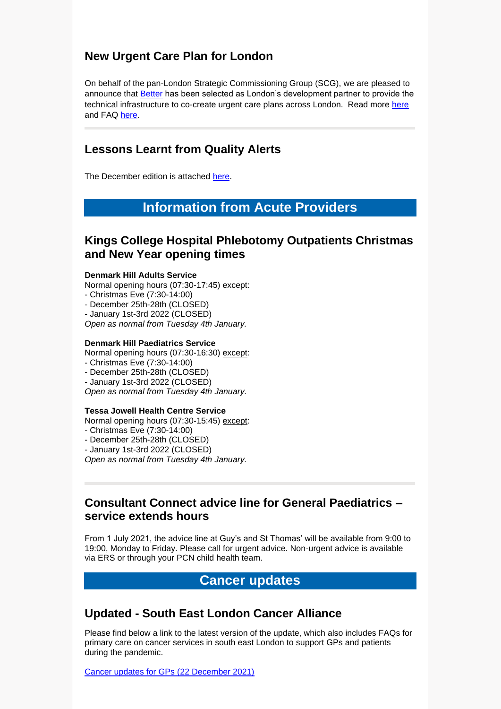### **New Urgent Care Plan for London**

On behalf of the pan-London Strategic Commissioning Group (SCG), we are pleased to announce that [Better](https://www.better.care/) has been selected as London's development partner to provide the technical infrastructure to co-create urgent care plans across London. Read more [here](https://selondonccg.nhs.uk/wp-content/uploads/2021/12/New-Urgent-Care-Plan-for-London.pdf) and FAQ [here.](https://selondonccg.nhs.uk/wp-content/uploads/2021/12/UCP-FAQs-v2.18.pdf)

## **Lessons Learnt from Quality Alerts**

The December edition is attached [here.](https://selondonccg.nhs.uk/wp-content/uploads/2021/12/Lessons-Learnt-Quality-You-said-we-did-December-21-Edition.docx)

## **Information from Acute Providers**

#### **Kings College Hospital Phlebotomy Outpatients Christmas and New Year opening times**

#### **Denmark Hill Adults Service**

Normal opening hours (07:30-17:45) except:

- Christmas Eve (7:30-14:00)
- December 25th-28th (CLOSED)
- January 1st-3rd 2022 (CLOSED)

*Open as normal from Tuesday 4th January.*

#### **Denmark Hill Paediatrics Service**

Normal opening hours (07:30-16:30) except:

- Christmas Eve (7:30-14:00)
- December 25th-28th (CLOSED)
- January 1st-3rd 2022 (CLOSED)

*Open as normal from Tuesday 4th January.*

#### **Tessa Jowell Health Centre Service**

Normal opening hours (07:30-15:45) except:

- Christmas Eve (7:30-14:00)
- December 25th-28th (CLOSED)
- January 1st-3rd 2022 (CLOSED)

*Open as normal from Tuesday 4th January.*

#### **Consultant Connect advice line for General Paediatrics – service extends hours**

From 1 July 2021, the advice line at Guy's and St Thomas' will be available from 9:00 to 19:00, Monday to Friday. Please call for urgent advice. Non-urgent advice is available via ERS or through your PCN child health team.

#### **Cancer updates**

#### **Updated - South East London Cancer Alliance**

Please find below a link to the latest version of the update, which also includes FAQs for primary care on cancer services in south east London to support GPs and patients during the pandemic.

[Cancer updates for GPs \(22](https://selondonccg.nhs.uk/wp-content/uploads/2021/12/SEL-Cancer-Updates-FAQs-for-Primary-Care-22-Dec-2021-Copy.pdf) December 2021)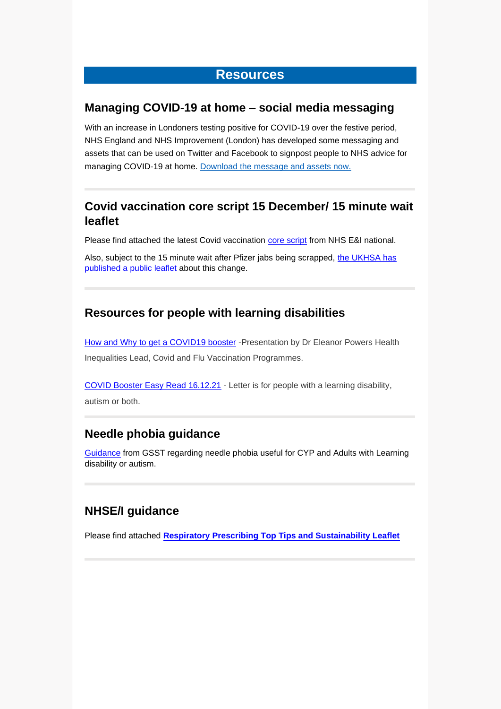## **Resources**

#### **Managing COVID-19 at home – social media messaging**

With an increase in Londoners testing positive for COVID-19 over the festive period, NHS England and NHS Improvement (London) has developed some messaging and assets that can be used on Twitter and Facebook to signpost people to NHS advice for managing COVID-19 at home. [Download the message and assets now.](https://londoncommunications.cmail20.com/t/d-l-ahrtkuy-tkulkluhlr-y/)

### **Covid vaccination core script 15 December/ 15 minute wait leaflet**

Please find attached the latest Covid vaccination [core script](https://selondonccg.nhs.uk/wp-content/uploads/2021/12/2021-12-15-UPDATED-Core-script-for-NHS-COVID-19-booster-vaccinations.docx) from NHS E&I national.

Also, subject to the 15 minute wait after Pfizer jabs being scrapped, the UKHSA has [published a public leaflet](https://assets.publishing.service.gov.uk/government/uploads/system/uploads/attachment_data/file/1040859/UKHSA-12222-COVID-19-waiting-after-your-COVID-19-vaccination.pdf) about this change.

#### **Resources for people with learning disabilities**

[How and Why to get a COVID19 booster](https://future.nhs.uk/committocarers/viewdocument?docid=121210149) - Presentation by Dr Eleanor Powers Health Inequalities Lead, Covid and Flu Vaccination Programmes.

[COVID Booster Easy Read 16.12.21](https://future.nhs.uk/committocarers/viewdocument?docid=121210181) - Letter is for people with a learning disability, autism or both.

#### **Needle phobia guidance**

[Guidance](https://selondonccg.nhs.uk/wp-content/uploads/2021/12/OVER-COMING-NEEDLE-PHOBIA-presentation.pptx) from GSST regarding needle phobia useful for CYP and Adults with Learning disability or autism.

## **NHSE/I guidance**

Please find attached **[Respiratory Prescribing Top Tips and Sustainability Leaflet](https://selondonccg.nhs.uk/wp-content/uploads/2021/12/Respiratory-Prescribing-Top-Tips-and-Sustainability-Leaflet-FINAL.pdf)**